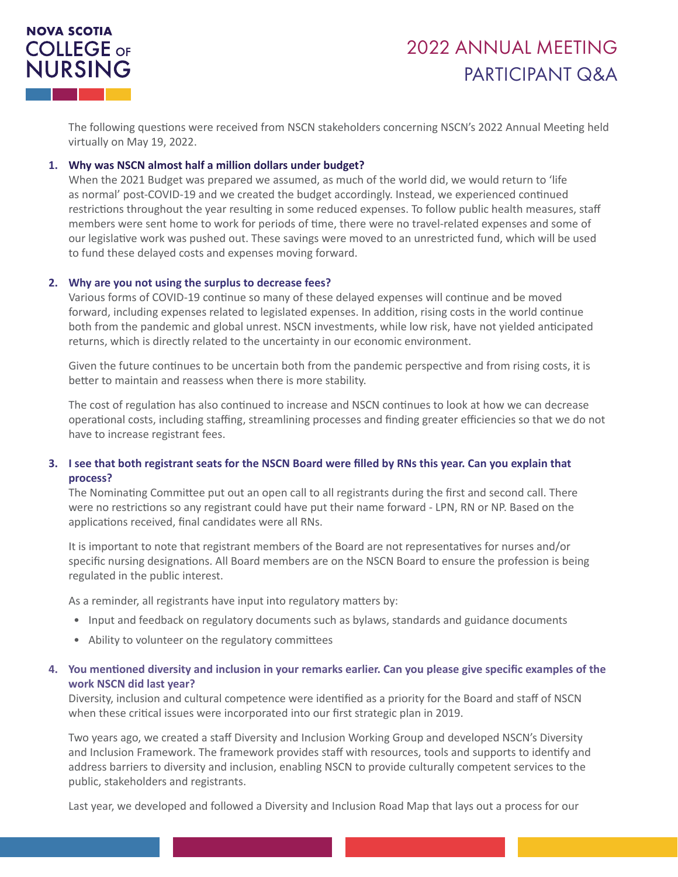## **NOVA SCOTIA COLLEGE OF** NURSING

# 2022 ANNUAL MEETING PARTICIPANT Q&A

The following questions were received from NSCN stakeholders concerning NSCN's 2022 Annual Meeting held virtually on May 19, 2022.

#### **1. Why was NSCN almost half a million dollars under budget?**

When the 2021 Budget was prepared we assumed, as much of the world did, we would return to 'life as normal' post-COVID-19 and we created the budget accordingly. Instead, we experienced continued restrictions throughout the year resulting in some reduced expenses. To follow public health measures, staff members were sent home to work for periods of time, there were no travel-related expenses and some of our legislative work was pushed out. These savings were moved to an unrestricted fund, which will be used to fund these delayed costs and expenses moving forward.

#### **2. Why are you not using the surplus to decrease fees?**

Various forms of COVID-19 continue so many of these delayed expenses will continue and be moved forward, including expenses related to legislated expenses. In addition, rising costs in the world continue both from the pandemic and global unrest. NSCN investments, while low risk, have not yielded anticipated returns, which is directly related to the uncertainty in our economic environment.

Given the future continues to be uncertain both from the pandemic perspective and from rising costs, it is better to maintain and reassess when there is more stability.

The cost of regulation has also continued to increase and NSCN continues to look at how we can decrease operational costs, including staffing, streamlining processes and finding greater efficiencies so that we do not have to increase registrant fees.

### **3. I see that both registrant seats for the NSCN Board were filled by RNs this year. Can you explain that process?**

The Nominating Committee put out an open call to all registrants during the first and second call. There were no restrictions so any registrant could have put their name forward - LPN, RN or NP. Based on the applications received, final candidates were all RNs.

It is important to note that registrant members of the Board are not representatives for nurses and/or specific nursing designations. All Board members are on the NSCN Board to ensure the profession is being regulated in the public interest.

As a reminder, all registrants have input into regulatory matters by:

- Input and feedback on regulatory documents such as bylaws, standards and guidance documents
- Ability to volunteer on the regulatory committees

#### **4. You mentioned diversity and inclusion in your remarks earlier. Can you please give specific examples of the work NSCN did last year?**

Diversity, inclusion and cultural competence were identified as a priority for the Board and staff of NSCN when these critical issues were incorporated into our first strategic plan in 2019.

Two years ago, we created a staff Diversity and Inclusion Working Group and developed NSCN's Diversity and Inclusion Framework. The framework provides staff with resources, tools and supports to identify and address barriers to diversity and inclusion, enabling NSCN to provide culturally competent services to the public, stakeholders and registrants.

Last year, we developed and followed a Diversity and Inclusion Road Map that lays out a process for our